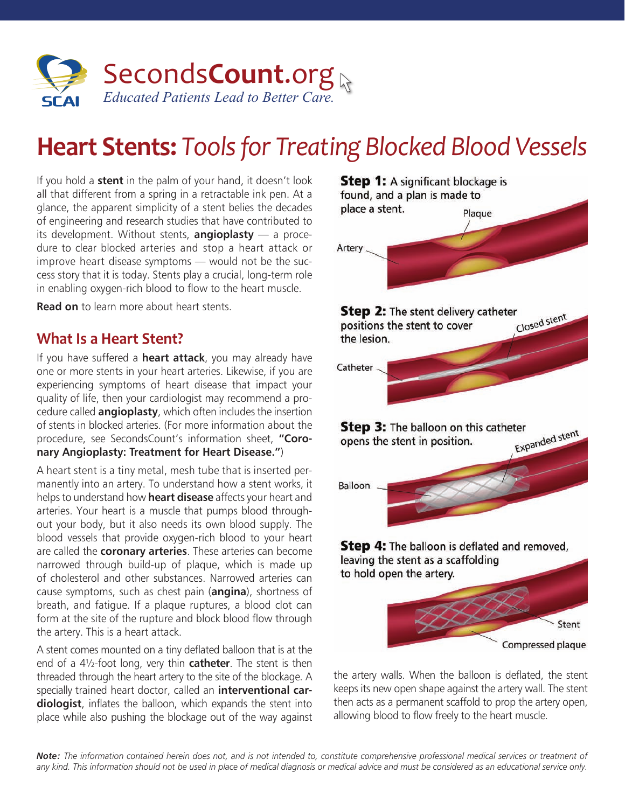

# **Heart Stents:** *Tools for Treating Blocked Blood Vessels*

If you hold a **stent** in the palm of your hand, it doesn't look all that different from a spring in a retractable ink pen. At a glance, the apparent simplicity of a stent belies the decades of engineering and research studies that have contributed to its development. Without stents, **angioplasty** — a procedure to clear blocked arteries and stop a heart attack or improve heart disease symptoms — would not be the success story that it is today. Stents play a crucial, long-term role in enabling oxygen-rich blood to flow to the heart muscle.

**Read on** to learn more about heart stents.

#### **What Is a Heart Stent?**

If you have suffered a **heart attack**, you may already have one or more stents in your heart arteries. Likewise, if you are experiencing symptoms of heart disease that impact your quality of life, then your cardiologist may recommend a procedure called **angioplasty**, which often includes the insertion of stents in blocked arteries. (For more information about the procedure, see SecondsCount's information sheet, **"Coronary Angioplasty: Treatment for Heart Disease."**)

A heart stent is a tiny metal, mesh tube that is inserted permanently into an artery. To understand how a stent works, it helps to understand how **heart disease** affects your heart and arteries. Your heart is a muscle that pumps blood throughout your body, but it also needs its own blood supply. The blood vessels that provide oxygen-rich blood to your heart are called the **coronary arteries**. These arteries can become narrowed through build-up of plaque, which is made up of cholesterol and other substances. Narrowed arteries can cause symptoms, such as chest pain (**angina**), shortness of breath, and fatigue. If a plaque ruptures, a blood clot can form at the site of the rupture and block blood flow through the artery. This is a heart attack.

A stent comes mounted on a tiny deflated balloon that is at the end of a 4½-foot long, very thin **catheter**. The stent is then threaded through the heart artery to the site of the blockage. A specially trained heart doctor, called an **interventional cardiologist**, inflates the balloon, which expands the stent into place while also pushing the blockage out of the way against



the artery walls. When the balloon is deflated, the stent keeps its new open shape against the artery wall. The stent then acts as a permanent scaffold to prop the artery open, allowing blood to flow freely to the heart muscle.